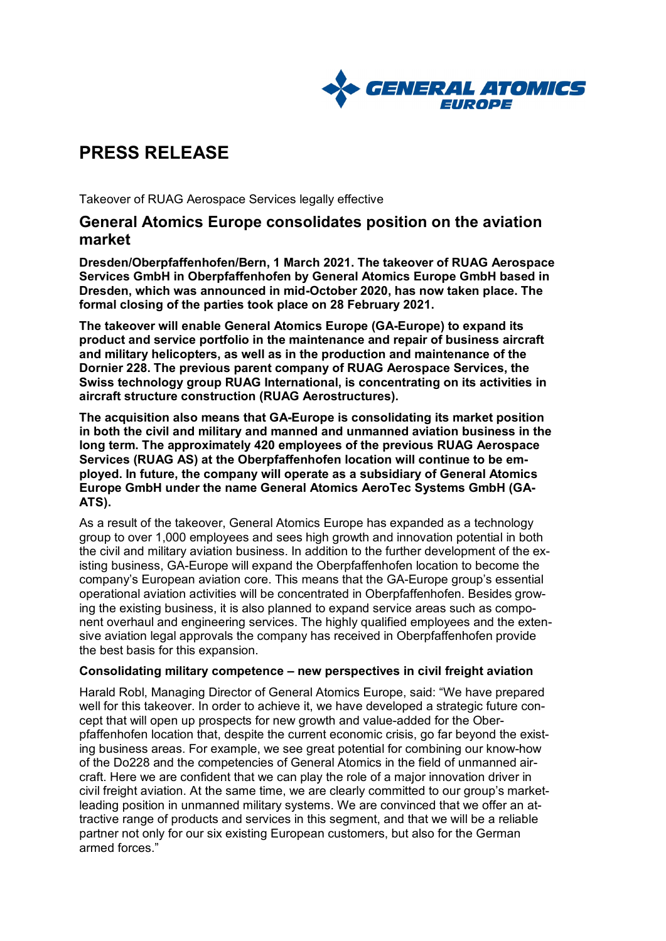

# **PRESS RELEASE**

Takeover of RUAG Aerospace Services legally effective

## **General Atomics Europe consolidates position on the aviation market**

**Dresden/Oberpfaffenhofen/Bern, 1 March 2021. The takeover of RUAG Aerospace Services GmbH in Oberpfaffenhofen by General Atomics Europe GmbH based in Dresden, which was announced in mid-October 2020, has now taken place. The formal closing of the parties took place on 28 February 2021.**

**The takeover will enable General Atomics Europe (GA-Europe) to expand its product and service portfolio in the maintenance and repair of business aircraft and military helicopters, as well as in the production and maintenance of the Dornier 228. The previous parent company of RUAG Aerospace Services, the Swiss technology group RUAG International, is concentrating on its activities in aircraft structure construction (RUAG Aerostructures).**

**The acquisition also means that GA-Europe is consolidating its market position in both the civil and military and manned and unmanned aviation business in the long term. The approximately 420 employees of the previous RUAG Aerospace Services (RUAG AS) at the Oberpfaffenhofen location will continue to be employed. In future, the company will operate as a subsidiary of General Atomics Europe GmbH under the name General Atomics AeroTec Systems GmbH (GA-ATS).**

As a result of the takeover, General Atomics Europe has expanded as a technology group to over 1,000 employees and sees high growth and innovation potential in both the civil and military aviation business. In addition to the further development of the existing business, GA-Europe will expand the Oberpfaffenhofen location to become the company's European aviation core. This means that the GA-Europe group's essential operational aviation activities will be concentrated in Oberpfaffenhofen. Besides growing the existing business, it is also planned to expand service areas such as component overhaul and engineering services. The highly qualified employees and the extensive aviation legal approvals the company has received in Oberpfaffenhofen provide the best basis for this expansion.

#### **Consolidating military competence – new perspectives in civil freight aviation**

Harald Robl, Managing Director of General Atomics Europe, said: "We have prepared well for this takeover. In order to achieve it, we have developed a strategic future concept that will open up prospects for new growth and value-added for the Oberpfaffenhofen location that, despite the current economic crisis, go far beyond the existing business areas. For example, we see great potential for combining our know-how of the Do228 and the competencies of General Atomics in the field of unmanned aircraft. Here we are confident that we can play the role of a major innovation driver in civil freight aviation. At the same time, we are clearly committed to our group's marketleading position in unmanned military systems. We are convinced that we offer an attractive range of products and services in this segment, and that we will be a reliable partner not only for our six existing European customers, but also for the German armed forces."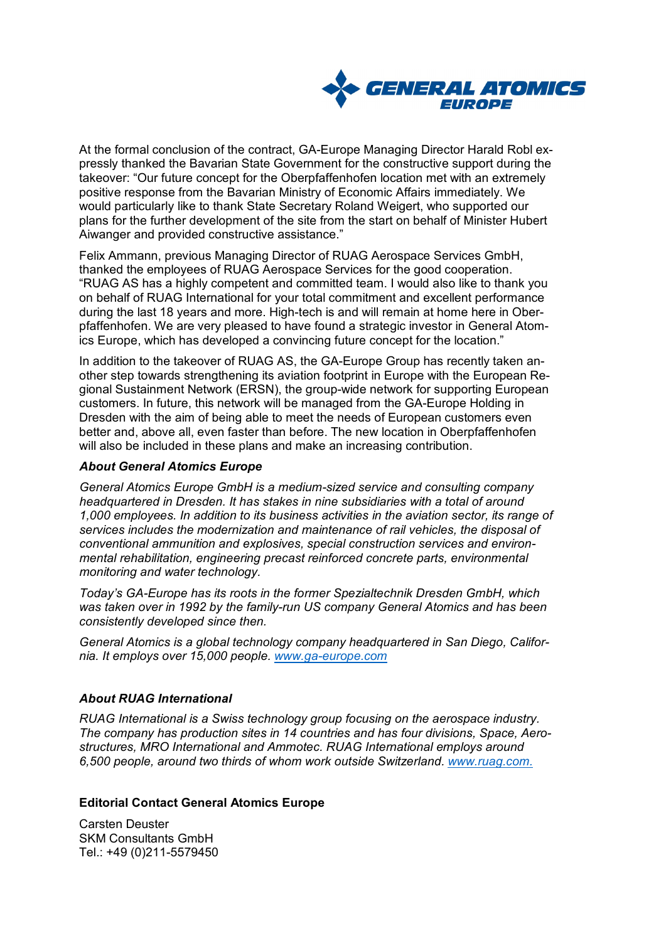

At the formal conclusion of the contract, GA-Europe Managing Director Harald Robl expressly thanked the Bavarian State Government for the constructive support during the takeover: "Our future concept for the Oberpfaffenhofen location met with an extremely positive response from the Bavarian Ministry of Economic Affairs immediately. We would particularly like to thank State Secretary Roland Weigert, who supported our plans for the further development of the site from the start on behalf of Minister Hubert Aiwanger and provided constructive assistance."

Felix Ammann, previous Managing Director of RUAG Aerospace Services GmbH, thanked the employees of RUAG Aerospace Services for the good cooperation. "RUAG AS has a highly competent and committed team. I would also like to thank you on behalf of RUAG International for your total commitment and excellent performance during the last 18 years and more. High-tech is and will remain at home here in Oberpfaffenhofen. We are very pleased to have found a strategic investor in General Atomics Europe, which has developed a convincing future concept for the location."

In addition to the takeover of RUAG AS, the GA-Europe Group has recently taken another step towards strengthening its aviation footprint in Europe with the European Regional Sustainment Network (ERSN), the group-wide network for supporting European customers. In future, this network will be managed from the GA-Europe Holding in Dresden with the aim of being able to meet the needs of European customers even better and, above all, even faster than before. The new location in Oberpfaffenhofen will also be included in these plans and make an increasing contribution.

#### *About General Atomics Europe*

*General Atomics Europe GmbH is a medium-sized service and consulting company headquartered in Dresden. It has stakes in nine subsidiaries with a total of around 1,000 employees. In addition to its business activities in the aviation sector, its range of services includes the modernization and maintenance of rail vehicles, the disposal of conventional ammunition and explosives, special construction services and environmental rehabilitation, engineering precast reinforced concrete parts, environmental monitoring and water technology.*

*Today's GA-Europe has its roots in the former Spezialtechnik Dresden GmbH, which was taken over in 1992 by the family-run US company General Atomics and has been consistently developed since then.*

*General Atomics is a global technology company headquartered in San Diego, California. It employs over 15,000 people. [www.ga-europe.com](http://www.ga-europe.com/)*

### *About RUAG International*

*RUAG International is a Swiss technology group focusing on the aerospace industry. The company has production sites in 14 countries and has four divisions, Space, Aerostructures, MRO International and Ammotec. RUAG International employs around 6,500 people, around two thirds of whom work outside Switzerland. [www.ruag.com.](http://www.ruag.com/)*

#### **Editorial Contact General Atomics Europe**

Carsten Deuster SKM Consultants GmbH Tel.: +49 (0)211-5579450